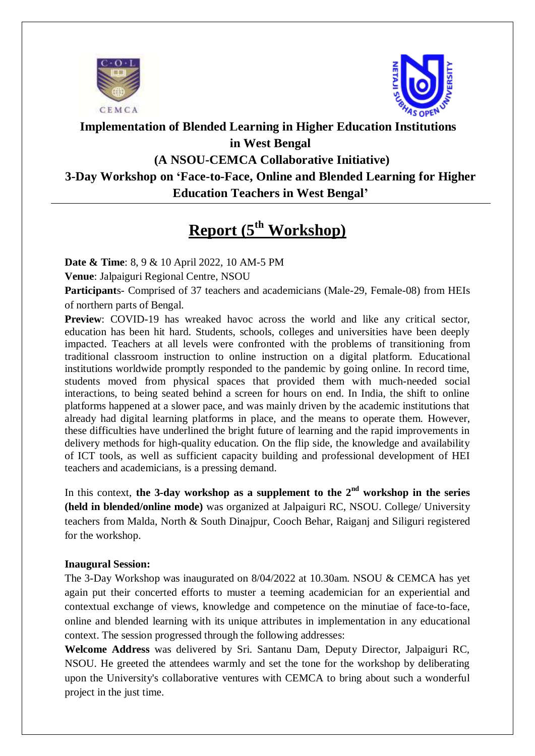



### **Implementation of Blended Learning in Higher Education Institutions in West Bengal**

## **(A NSOU-CEMCA Collaborative Initiative)**

## **3-Day Workshop on 'Face-to-Face, Online and Blended Learning for Higher**

### **Education Teachers in West Bengal'**

# **Report (5th Workshop)**

**Date & Time**: 8, 9 & 10 April 2022, 10 AM-5 PM

**Venue**: Jalpaiguri Regional Centre, NSOU

**Participant**s- Comprised of 37 teachers and academicians (Male-29, Female-08) from HEIs of northern parts of Bengal.

**Preview**: COVID-19 has wreaked havoc across the world and like any critical sector, education has been hit hard. Students, schools, colleges and universities have been deeply impacted. Teachers at all levels were confronted with the problems of transitioning from traditional classroom instruction to online instruction on a digital platform. Educational institutions worldwide promptly responded to the pandemic by going online. In record time, students moved from physical spaces that provided them with much-needed social interactions, to being seated behind a screen for hours on end. In India, the shift to online platforms happened at a slower pace, and was mainly driven by the academic institutions that already had digital learning platforms in place, and the means to operate them. However, these difficulties have underlined the bright future of learning and the rapid improvements in delivery methods for high-quality education. On the flip side, the knowledge and availability of ICT tools, as well as sufficient capacity building and professional development of HEI teachers and academicians, is a pressing demand.

In this context, **the 3-day workshop as a supplement to the 2nd workshop in the series (held in blended/online mode)** was organized at Jalpaiguri RC, NSOU. College/ University teachers from Malda, North & South Dinajpur, Cooch Behar, Raiganj and Siliguri registered for the workshop.

#### **Inaugural Session:**

The 3-Day Workshop was inaugurated on 8/04/2022 at 10.30am. NSOU & CEMCA has yet again put their concerted efforts to muster a teeming academician for an experiential and contextual exchange of views, knowledge and competence on the minutiae of face-to-face, online and blended learning with its unique attributes in implementation in any educational context. The session progressed through the following addresses:

**Welcome Address** was delivered by Sri. Santanu Dam, Deputy Director, Jalpaiguri RC, NSOU. He greeted the attendees warmly and set the tone for the workshop by deliberating upon the University's collaborative ventures with CEMCA to bring about such a wonderful project in the just time.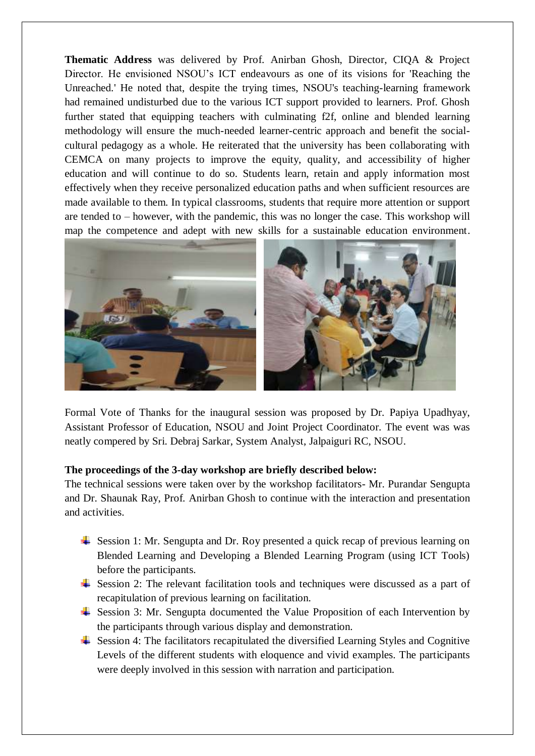**Thematic Address** was delivered by Prof. Anirban Ghosh, Director, CIQA & Project Director. He envisioned NSOU's ICT endeavours as one of its visions for 'Reaching the Unreached.' He noted that, despite the trying times, NSOU's teaching-learning framework had remained undisturbed due to the various ICT support provided to learners. Prof. Ghosh further stated that equipping teachers with culminating f2f, online and blended learning methodology will ensure the much-needed learner-centric approach and benefit the socialcultural pedagogy as a whole. He reiterated that the university has been collaborating with CEMCA on many projects to improve the equity, quality, and accessibility of higher education and will continue to do so. Students learn, retain and apply information most effectively when they receive personalized education paths and when sufficient resources are made available to them. In typical classrooms, students that require more attention or support are tended to – however, with the pandemic, this was no longer the case. This workshop will map the competence and adept with new skills for a sustainable education environment.



Formal Vote of Thanks for the inaugural session was proposed by Dr. Papiya Upadhyay, Assistant Professor of Education, NSOU and Joint Project Coordinator. The event was was neatly compered by Sri. Debraj Sarkar, System Analyst, Jalpaiguri RC, NSOU.

#### **The proceedings of the 3-day workshop are briefly described below:**

The technical sessions were taken over by the workshop facilitators- Mr. Purandar Sengupta and Dr. Shaunak Ray, Prof. Anirban Ghosh to continue with the interaction and presentation and activities.

- Session 1: Mr. Sengupta and Dr. Roy presented a quick recap of previous learning on Blended Learning and Developing a Blended Learning Program (using ICT Tools) before the participants.
- $\overline{\phantom{a}}$  Session 2: The relevant facilitation tools and techniques were discussed as a part of recapitulation of previous learning on facilitation.
- $\overline{\phantom{a}}$  Session 3: Mr. Sengupta documented the Value Proposition of each Intervention by the participants through various display and demonstration.
- $\overline{\phantom{a}}$  Session 4: The facilitators recapitulated the diversified Learning Styles and Cognitive Levels of the different students with eloquence and vivid examples. The participants were deeply involved in this session with narration and participation.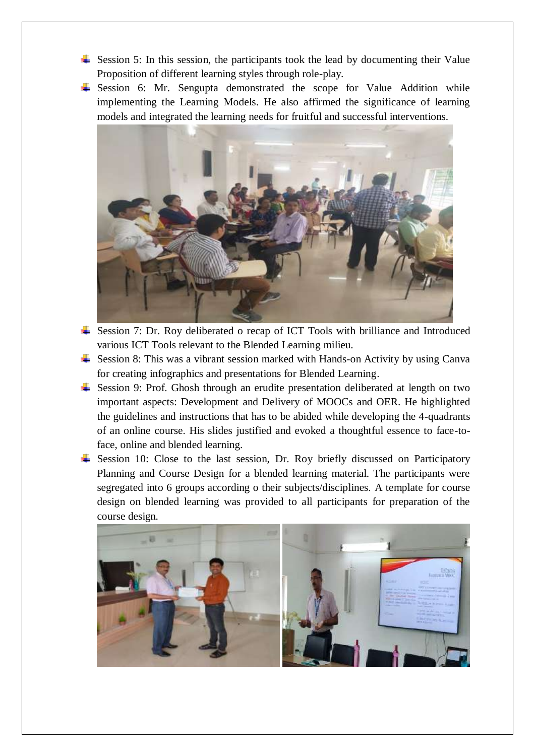- $\frac{1}{\sqrt{1}}$  Session 5: In this session, the participants took the lead by documenting their Value Proposition of different learning styles through role-play.
- $\frac{1}{\sqrt{1}}$  Session 6: Mr. Sengupta demonstrated the scope for Value Addition while implementing the Learning Models. He also affirmed the significance of learning models and integrated the learning needs for fruitful and successful interventions.



- ↓ Session 7: Dr. Roy deliberated o recap of ICT Tools with brilliance and Introduced various ICT Tools relevant to the Blended Learning milieu.
- $\frac{1}{\sqrt{1}}$  Session 8: This was a vibrant session marked with Hands-on Activity by using Canva for creating infographics and presentations for Blended Learning.
- Session 9: Prof. Ghosh through an erudite presentation deliberated at length on two important aspects: Development and Delivery of MOOCs and OER. He highlighted the guidelines and instructions that has to be abided while developing the 4-quadrants of an online course. His slides justified and evoked a thoughtful essence to face-toface, online and blended learning.
- $\frac{1}{\sqrt{1}}$  Session 10: Close to the last session, Dr. Roy briefly discussed on Participatory Planning and Course Design for a blended learning material. The participants were segregated into 6 groups according o their subjects/disciplines. A template for course design on blended learning was provided to all participants for preparation of the course design.

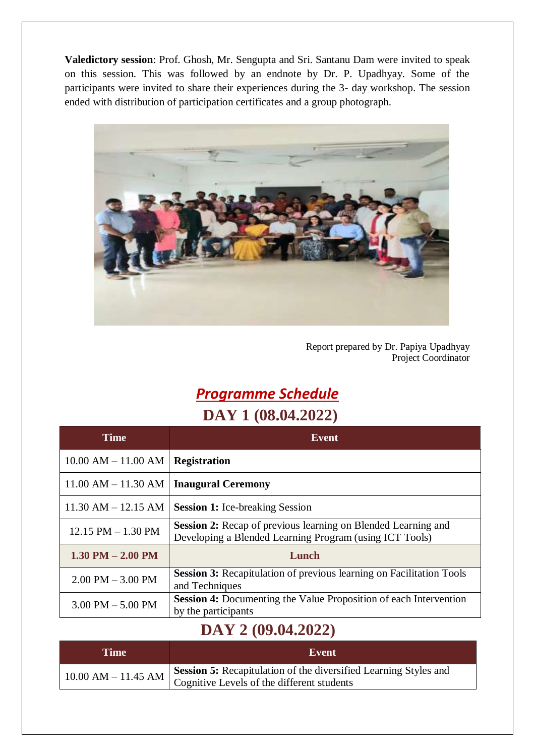**Valedictory session**: Prof. Ghosh, Mr. Sengupta and Sri. Santanu Dam were invited to speak on this session. This was followed by an endnote by Dr. P. Upadhyay. Some of the participants were invited to share their experiences during the 3- day workshop. The session ended with distribution of participation certificates and a group photograph.



Report prepared by Dr. Papiya Upadhyay Project Coordinator

# *Programme Schedule* **DAY 1 (08.04.2022)**

| <b>Time</b>             | Event                                                                                                                    |  |  |  |  |  |
|-------------------------|--------------------------------------------------------------------------------------------------------------------------|--|--|--|--|--|
| $10.00$ AM $- 11.00$ AM | <b>Registration</b>                                                                                                      |  |  |  |  |  |
| $11.00$ AM $- 11.30$ AM | <b>Inaugural Ceremony</b>                                                                                                |  |  |  |  |  |
| $11.30$ AM $- 12.15$ AM | <b>Session 1:</b> Ice-breaking Session                                                                                   |  |  |  |  |  |
| $12.15$ PM $- 1.30$ PM  | Session 2: Recap of previous learning on Blended Learning and<br>Developing a Blended Learning Program (using ICT Tools) |  |  |  |  |  |
| $1.30$ PM $- 2.00$ PM   | Lunch                                                                                                                    |  |  |  |  |  |
| $2.00$ PM $-3.00$ PM    | <b>Session 3:</b> Recapitulation of previous learning on Facilitation Tools<br>and Techniques                            |  |  |  |  |  |
| $3.00$ PM $-5.00$ PM    | <b>Session 4:</b> Documenting the Value Proposition of each Intervention<br>by the participants                          |  |  |  |  |  |

# **DAY 2 (09.04.2022)**

| Time | Event                                                                                                                                                                              |
|------|------------------------------------------------------------------------------------------------------------------------------------------------------------------------------------|
|      | Session 5: Recapitulation of the diversified Learning Styles and<br>$10.00$ AM – 11.45 AM $\Big  \frac{\text{observed}}{\text{Contribute Levels of the different students}} \Big $ |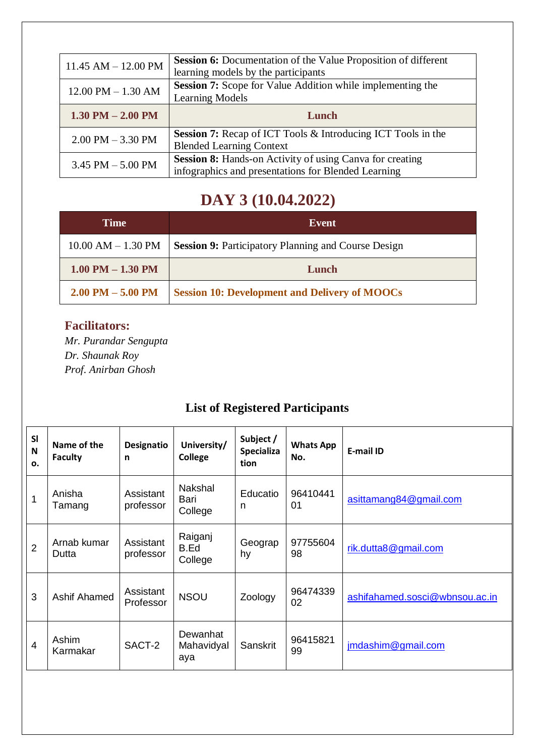| $11.45$ AM $- 12.00$ PM | <b>Session 6:</b> Documentation of the Value Proposition of different |  |  |  |
|-------------------------|-----------------------------------------------------------------------|--|--|--|
|                         | learning models by the participants                                   |  |  |  |
| $12.00$ PM $- 1.30$ AM  | Session 7: Scope for Value Addition while implementing the            |  |  |  |
|                         | <b>Learning Models</b>                                                |  |  |  |
|                         |                                                                       |  |  |  |
| $1.30$ PM $- 2.00$ PM   | Lunch                                                                 |  |  |  |
|                         | <b>Session 7:</b> Recap of ICT Tools & Introducing ICT Tools in the   |  |  |  |
| $2.00$ PM $-3.30$ PM    | <b>Blended Learning Context</b>                                       |  |  |  |
|                         | <b>Session 8:</b> Hands-on Activity of using Canva for creating       |  |  |  |
| $3.45$ PM $-5.00$ PM    | infographics and presentations for Blended Learning                   |  |  |  |

# **DAY 3 (10.04.2022)**

| Time                   | Event                                                      |  |  |  |
|------------------------|------------------------------------------------------------|--|--|--|
| $10.00$ AM $- 1.30$ PM | <b>Session 9: Participatory Planning and Course Design</b> |  |  |  |
| $1.00$ PM $- 1.30$ PM  | Lunch                                                      |  |  |  |
| $2.00$ PM $- 5.00$ PM  | <b>Session 10: Development and Delivery of MOOCs</b>       |  |  |  |

### **Facilitators:**

*Mr. Purandar Sengupta Dr. Shaunak Roy Prof. Anirban Ghosh*

## **List of Registered Participants**

| <b>SI</b><br>N<br>0. | Name of the<br><b>Faculty</b> | Designatio<br>n        | University/<br>College            | Subject /<br><b>Specializa</b><br>tion | <b>Whats App</b><br>No. | <b>E-mail ID</b>               |
|----------------------|-------------------------------|------------------------|-----------------------------------|----------------------------------------|-------------------------|--------------------------------|
| 1                    | Anisha<br>Tamang              | Assistant<br>professor | <b>Nakshal</b><br>Bari<br>College | Educatio<br>n                          | 96410441<br>01          | asittamang84@gmail.com         |
| $\overline{2}$       | Arnab kumar<br>Dutta          | Assistant<br>professor | Raiganj<br>B.Ed<br>College        | Geograp<br>hy                          | 97755604<br>98          | rik.dutta8@gmail.com           |
| 3                    | Ashif Ahamed                  | Assistant<br>Professor | <b>NSOU</b>                       | Zoology                                | 96474339<br>02          | ashifahamed.sosci@wbnsou.ac.in |
| $\overline{4}$       | Ashim<br>Karmakar             | SACT-2                 | Dewanhat<br>Mahavidyal<br>aya     | Sanskrit                               | 96415821<br>99          | jmdashim@gmail.com             |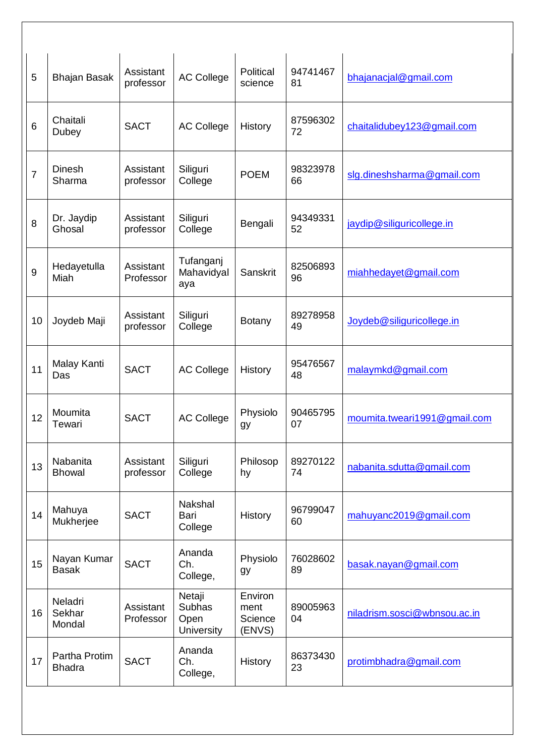| 5              | <b>Bhajan Basak</b>            | Assistant<br>professor | <b>AC College</b>                             | Political<br>science                 | 94741467<br>81 | bhajanacjal@gmail.com        |
|----------------|--------------------------------|------------------------|-----------------------------------------------|--------------------------------------|----------------|------------------------------|
| 6              | Chaitali<br>Dubey              | <b>SACT</b>            | <b>AC College</b>                             | History                              | 87596302<br>72 | chaitalidubey123@gmail.com   |
| $\overline{7}$ | Dinesh<br>Sharma               | Assistant<br>professor | Siliguri<br>College                           | <b>POEM</b>                          | 98323978<br>66 | slg.dineshsharma@gmail.com   |
| 8              | Dr. Jaydip<br>Ghosal           | Assistant<br>professor | Siliguri<br>College                           | Bengali                              | 94349331<br>52 | jaydip@siliguricollege.in    |
| 9              | Hedayetulla<br>Miah            | Assistant<br>Professor | Tufanganj<br>Mahavidyal<br>aya                | Sanskrit                             | 82506893<br>96 | miahhedayet@gmail.com        |
| 10             | Joydeb Maji                    | Assistant<br>professor | Siliguri<br>College                           | <b>Botany</b>                        | 89278958<br>49 | Joydeb@siliguricollege.in    |
| 11             | Malay Kanti<br>Das             | <b>SACT</b>            | <b>AC College</b>                             | History                              | 95476567<br>48 | malaymkd@gmail.com           |
| 12             | Moumita<br>Tewari              | <b>SACT</b>            | <b>AC College</b>                             | Physiolo<br>gy                       | 90465795<br>07 | moumita.tweari1991@gmail.com |
| 13             | Nabanita<br><b>Bhowal</b>      | Assistant<br>professor | Siliguri<br>College                           | Philosop<br>hy                       | 89270122<br>74 | nabanita.sdutta@gmail.com    |
| 14             | Mahuya<br>Mukherjee            | <b>SACT</b>            | Nakshal<br>Bari<br>College                    | History                              | 96799047<br>60 | mahuyanc2019@gmail.com       |
| 15             | Nayan Kumar<br><b>Basak</b>    | <b>SACT</b>            | Ananda<br>Ch.<br>College,                     | Physiolo<br>gy                       | 76028602<br>89 | basak.nayan@gmail.com        |
| 16             | Neladri<br>Sekhar<br>Mondal    | Assistant<br>Professor | Netaji<br><b>Subhas</b><br>Open<br>University | Environ<br>ment<br>Science<br>(ENVS) | 89005963<br>04 | niladrism.sosci@wbnsou.ac.in |
| 17             | Partha Protim<br><b>Bhadra</b> | <b>SACT</b>            | Ananda<br>Ch.<br>College,                     | History                              | 86373430<br>23 | protimbhadra@gmail.com       |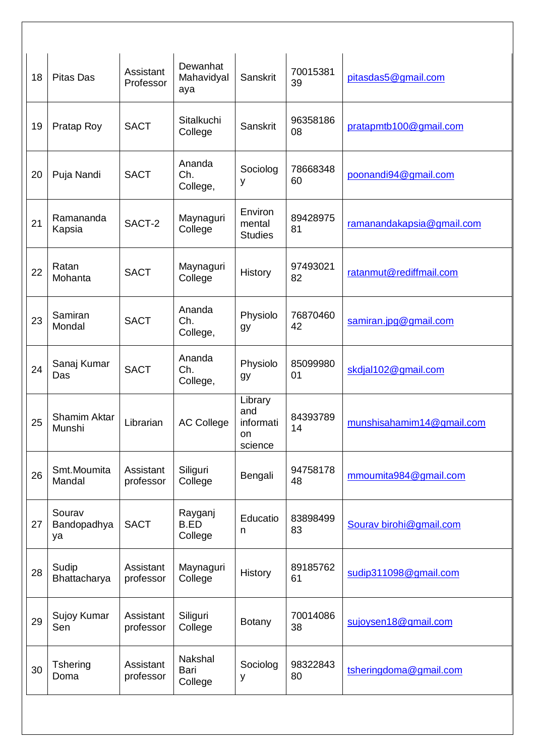| 18 | <b>Pitas Das</b>              | Assistant<br>Professor | Dewanhat<br>Mahavidyal<br>aya     | Sanskrit                                     | 70015381<br>39 | pitasdas5@gmail.com       |
|----|-------------------------------|------------------------|-----------------------------------|----------------------------------------------|----------------|---------------------------|
| 19 | Pratap Roy                    | <b>SACT</b>            | Sitalkuchi<br>College             | Sanskrit                                     | 96358186<br>08 | pratapmtb100@gmail.com    |
| 20 | Puja Nandi                    | <b>SACT</b>            | Ananda<br>Ch.<br>College,         | Sociolog<br>у                                | 78668348<br>60 | poonandi94@gmail.com      |
| 21 | Ramananda<br>Kapsia           | SACT-2                 | Maynaguri<br>College              | Environ<br>mental<br><b>Studies</b>          | 89428975<br>81 | ramanandakapsia@gmail.com |
| 22 | Ratan<br>Mohanta              | <b>SACT</b>            | Maynaguri<br>College              | History                                      | 97493021<br>82 | ratanmut@rediffmail.com   |
| 23 | Samiran<br>Mondal             | <b>SACT</b>            | Ananda<br>Ch.<br>College,         | Physiolo<br>gy                               | 76870460<br>42 | samiran.jpg@gmail.com     |
| 24 | Sanaj Kumar<br>Das            | <b>SACT</b>            | Ananda<br>Ch.<br>College,         | Physiolo<br>gy                               | 85099980<br>01 | skdjal102@gmail.com       |
| 25 | <b>Shamim Aktar</b><br>Munshi | Librarian              | <b>AC College</b>                 | Library<br>and<br>informati<br>on<br>science | 84393789<br>14 | munshisahamim14@gmail.com |
| 26 | Smt.Moumita<br>Mandal         | Assistant<br>professor | Siliguri<br>College               | Bengali                                      | 94758178<br>48 | mmoumita984@gmail.com     |
| 27 | Sourav<br>Bandopadhya<br>ya   | <b>SACT</b>            | Rayganj<br><b>B.ED</b><br>College | Educatio<br>n                                | 83898499<br>83 | Sourav birohi@gmail.com   |
| 28 | Sudip<br>Bhattacharya         | Assistant<br>professor | Maynaguri<br>College              | History                                      | 89185762<br>61 | sudip311098@gmail.com     |
| 29 | Sujoy Kumar<br>Sen            | Assistant<br>professor | Siliguri<br>College               | <b>Botany</b>                                | 70014086<br>38 | sujoysen18@gmail.com      |
| 30 | <b>Tshering</b><br>Doma       | Assistant<br>professor | Nakshal<br>Bari<br>College        | Sociolog<br>у                                | 98322843<br>80 | tsheringdoma@gmail.com    |